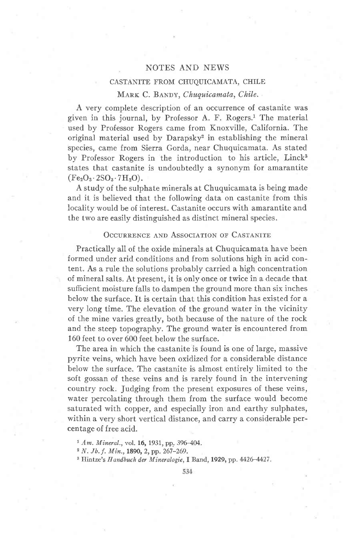## NOTES AND NEWS

#### CASTANITE FROM CHUQUICAMATA, CHILE

### MARK C. BANDY, Chuquicamata, Chile.

A very complete description of an occurrence of castanite was given in this journal, by Professor A. F. Rogers.<sup>1</sup> The material used by Professor Rogers came from Knoxville, California. The original material used by Darapsky2 in establishing the mineral species, came from Sierra Gorda, near Chuquicamata. As stated by Professor Rogers in the introduction to his article, Linck<sup>3</sup> states that castanite is undoubtedly a synonym for amarantite  $(Fe<sub>2</sub>O<sub>3</sub>·2SO<sub>3</sub>·7H<sub>2</sub>O).$ 

A study of the sulphate minerals at Chuquicamata is being made and it is believed that the following data on castanite from this locality would be of interest. Castanite occurs with amarantite and the two are easily distinguished as distinct mineral species.

#### OCCURRENCE AND ASSOCIATION OF CASTANITE

Practically all of the oxide minerals at Chuquicamata have been formed under arid conditions and from solutions high in acid content. As a rule the solutions probably carried a high concentration of mineral salts. At present, it is only once or twice in a decade that sufficient moisture falls to dampen the ground more than six inches below the surface. It is certain that this condition has existed for a very long time. The elevation of the ground water in the vicinity of the mine varies greatly, both because of the nature of the rock and the steep topography. The ground water is encountered from 160 feet to over 600 feet below the surface.

The area in which the castanite is found is one of large, massive pyrite veins, which have been oxidized for a considerable distance below the surface. The castanite is almost entirely limited to the soft gossan of these veins and is rarely found in the intervening country rock. Judging from the present exposures of these veins, water percolating through them from the surface would become saturated with copper, and especially iron and earthy sulphates, within a very short vertical distance, and carry a considerable percentage of free acid.

<sup>1</sup> Am. Mineral., vol. 16, 1931, pp. 396-404.

<sup>3</sup> Hintze's Handbuch der Mineralogie, I Band, 1929, pp. 4426-4427.

 $2 N. Jb. f. Min., 1890, 2, pp. 267-269.$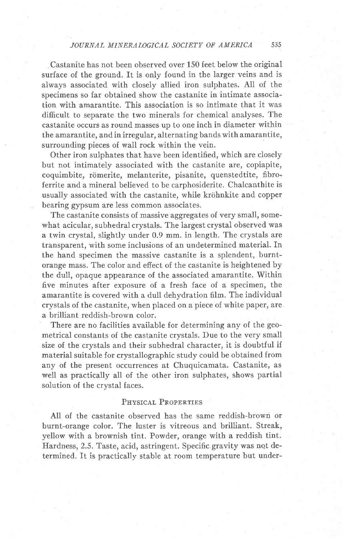, Castanite has not been observed over 150 feet below the original surface of the ground. It is only found in the larger veins and is always associated with closely allied iron sulphates. All of the specimens so far obtained show the castanite in intimate association with amarantite. This association is so intimate that it was difficult to separate the two minerals for chemical analyses. The castanite occurs as round masses up to one inch in diameter within the amarantite, and in irregular, alternating bands with amarantite, surrounding pieces of wall rock within the vein.

Other iron sulphates that have been identified, which are closely but not intimately associated with the castanite are, copiapite, coquimbite, römerite, melanterite, pisanite, quenstedtite, fibroferrite and a mineral believed to be carphosiderite. Chalcanthite is usually associated with the castanite, while kröhnkite and copper bearing gypsum are less common associates.

The castanite consists of massive aggregates of very small, somewhat acicular, subhedral crystals. The largest crystal observed was a twin crystal, slightly under 0.9 mm. in length. The crystals are transparent, with some inclusions of an undetermined material. In the hand specimen the massive castanite is a splendent, burntorange mass. The color and effect of the castanite is heightened by the dull, opaque appearance of the associated amarantite. Within five minutes after exposure of a fresh face of a specimen, the amarantite is covered with a dull dehydration film. The individual crystals of the castanite, when placed on a piece of white paper, are a brilliant reddish-brown color.

There are no facilities available for determining any of the geometrical constants of the castanite crystals. Due to the very small size of the crystals and their subhedral character, it is doubtful if material suitable for crystallographic study could be obtained from any of the present occurrences at Chuquicamata. Castanite, as well as practically all of the other iron sulphates, shows partial solution of the crystal faces.

#### PHYSICAL PROPERTIES

All of the castanite observed has the same reddish-brown or burnt-orange color. The luster is vitreous and brilliant. Streak, yellow with a brownish tint. Powder, orange with a reddish tint. Hardness, 2.5. Taste, acid, astringent. Specific gravity was not determined. It is practically stable at room temperature but under-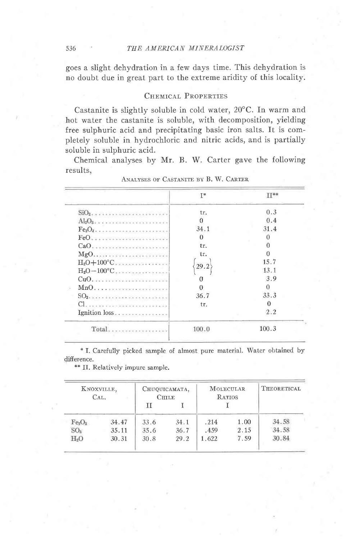goes a slight dehydration in a few days time. This dehydration is no doubt due in great part to the extreme aridity of this locality.

## CHEMICAL PROPERTIES

Castanite is slightly soluble in cold water, 20°C. In warm and hot water the castanite is soluble, with decomposition, yielding free sulphuric acid and precipitating basic iron salts. It is completely soluble in hydrochloric and nitric acids, and is partially soluble in sulphuric acid.

Chemical analyses by Mr. B. W. Carter gave the following results,

|                                         | $I^*$    | $\Pi$ ** |
|-----------------------------------------|----------|----------|
| $SiO2$ , , , , , , , , , ,              | tr.      | 0.3      |
| $Al_2O_3$ , , , , , , , , , , , , , , , | 0        | 0.4      |
| $Fe2O3$                                 | 34.1     | 31.4     |
| $FeO.$                                  | $\Omega$ | 0        |
| CaO.                                    | tr.      | $\Omega$ |
| MgO                                     | tr.      | n        |
| $H_2O+100^{\circ}C$                     |          | 15.7     |
| $H_2O-100^{\circ}C$                     | 29.2     | 13.1     |
|                                         | 0        | 3.9      |
| $Mn0$                                   | Ω        | Ω        |
|                                         | 36.7     | 33.3     |
|                                         | tr.      | 0        |
| Ignition loss                           |          | 2.2      |
| Total                                   | 100.0    | 100.3    |

ANALYSES OF CASTANITE BY B. W. CARTER

\* I. Carefully picked sample of almost pure material. Water obtained by difference.

| KNOXVILLE,<br>CAL.             |       | CHUQUICAMATA,<br><b>CHILE</b> |      | <b>MOLECULAR</b><br><b>RATIOS</b> |      | THEORETICAL |
|--------------------------------|-------|-------------------------------|------|-----------------------------------|------|-------------|
|                                |       | τŗ                            |      |                                   |      |             |
| Fe <sub>2</sub> O <sub>3</sub> | 34.47 | 33.6                          | 34.1 | .214                              | 1.00 | 34.58       |
| SO <sub>a</sub>                | 35.11 | 35.6                          | 36.7 | .459                              | 2.15 | 34.58       |
| H <sub>2</sub> O               | 30.31 | 30.8                          | 29.2 | 1.622                             | 7.59 | 30.84       |

\*\* II. Relatively impure sample.

536